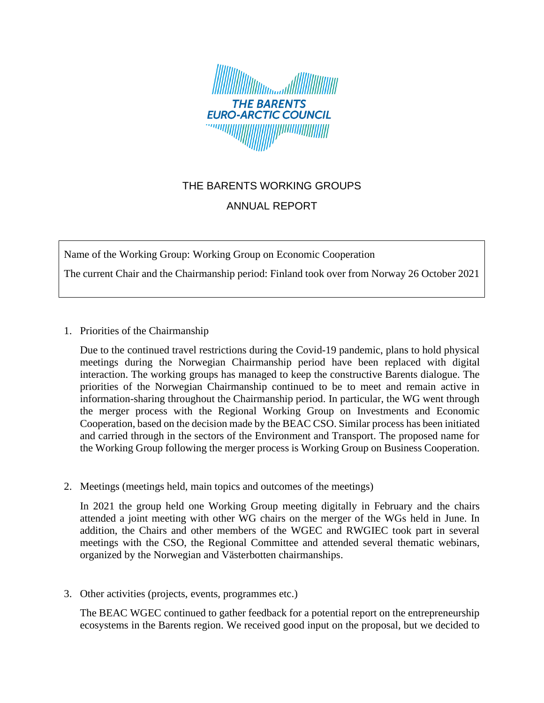

## THE BARENTS WORKING GROUPS

## ANNUAL REPORT

Name of the Working Group: Working Group on Economic Cooperation

The current Chair and the Chairmanship period: Finland took over from Norway 26 October 2021

1. Priorities of the Chairmanship

Due to the continued travel restrictions during the Covid-19 pandemic, plans to hold physical meetings during the Norwegian Chairmanship period have been replaced with digital interaction. The working groups has managed to keep the constructive Barents dialogue. The priorities of the Norwegian Chairmanship continued to be to meet and remain active in information-sharing throughout the Chairmanship period. In particular, the WG went through the merger process with the Regional Working Group on Investments and Economic Cooperation, based on the decision made by the BEAC CSO. Similar process has been initiated and carried through in the sectors of the Environment and Transport. The proposed name for the Working Group following the merger process is Working Group on Business Cooperation.

2. Meetings (meetings held, main topics and outcomes of the meetings)

In 2021 the group held one Working Group meeting digitally in February and the chairs attended a joint meeting with other WG chairs on the merger of the WGs held in June. In addition, the Chairs and other members of the WGEC and RWGIEC took part in several meetings with the CSO, the Regional Committee and attended several thematic webinars, organized by the Norwegian and Västerbotten chairmanships.

3. Other activities (projects, events, programmes etc.)

The BEAC WGEC continued to gather feedback for a potential report on the entrepreneurship ecosystems in the Barents region. We received good input on the proposal, but we decided to